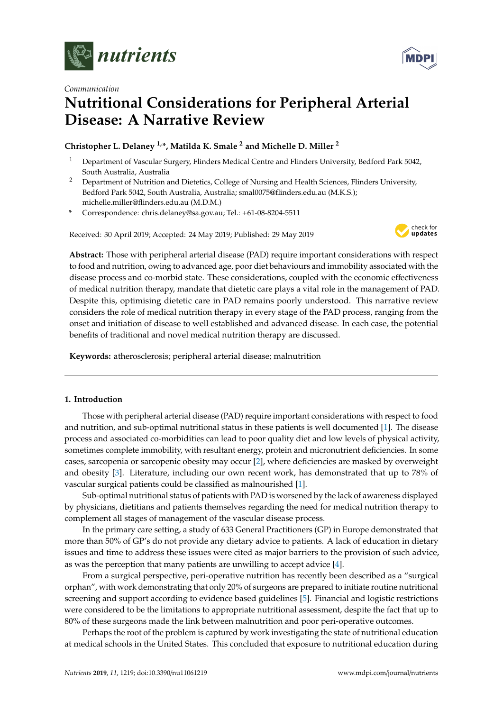



# *Communication* **Nutritional Considerations for Peripheral Arterial Disease: A Narrative Review**

## **Christopher L. Delaney 1,\*, Matilda K. Smale <sup>2</sup> and Michelle D. Miller <sup>2</sup>**

- <sup>1</sup> Department of Vascular Surgery, Flinders Medical Centre and Flinders University, Bedford Park 5042, South Australia, Australia
- <sup>2</sup> Department of Nutrition and Dietetics, College of Nursing and Health Sciences, Flinders University, Bedford Park 5042, South Australia, Australia; smal0075@flinders.edu.au (M.K.S.); michelle.miller@flinders.edu.au (M.D.M.)
- **\*** Correspondence: chris.delaney@sa.gov.au; Tel.: +61-08-8204-5511

Received: 30 April 2019; Accepted: 24 May 2019; Published: 29 May 2019



**Abstract:** Those with peripheral arterial disease (PAD) require important considerations with respect to food and nutrition, owing to advanced age, poor diet behaviours and immobility associated with the disease process and co-morbid state. These considerations, coupled with the economic effectiveness of medical nutrition therapy, mandate that dietetic care plays a vital role in the management of PAD. Despite this, optimising dietetic care in PAD remains poorly understood. This narrative review considers the role of medical nutrition therapy in every stage of the PAD process, ranging from the onset and initiation of disease to well established and advanced disease. In each case, the potential benefits of traditional and novel medical nutrition therapy are discussed.

**Keywords:** atherosclerosis; peripheral arterial disease; malnutrition

## **1. Introduction**

Those with peripheral arterial disease (PAD) require important considerations with respect to food and nutrition, and sub-optimal nutritional status in these patients is well documented [\[1\]](#page-10-0). The disease process and associated co-morbidities can lead to poor quality diet and low levels of physical activity, sometimes complete immobility, with resultant energy, protein and micronutrient deficiencies. In some cases, sarcopenia or sarcopenic obesity may occur [\[2\]](#page-10-1), where deficiencies are masked by overweight and obesity [\[3\]](#page-10-2). Literature, including our own recent work, has demonstrated that up to 78% of vascular surgical patients could be classified as malnourished [\[1\]](#page-10-0).

Sub-optimal nutritional status of patients with PAD is worsened by the lack of awareness displayed by physicians, dietitians and patients themselves regarding the need for medical nutrition therapy to complement all stages of management of the vascular disease process.

In the primary care setting, a study of 633 General Practitioners (GP) in Europe demonstrated that more than 50% of GP's do not provide any dietary advice to patients. A lack of education in dietary issues and time to address these issues were cited as major barriers to the provision of such advice, as was the perception that many patients are unwilling to accept advice [\[4\]](#page-10-3).

From a surgical perspective, peri-operative nutrition has recently been described as a "surgical orphan", with work demonstrating that only 20% of surgeons are prepared to initiate routine nutritional screening and support according to evidence based guidelines [\[5\]](#page-10-4). Financial and logistic restrictions were considered to be the limitations to appropriate nutritional assessment, despite the fact that up to 80% of these surgeons made the link between malnutrition and poor peri-operative outcomes.

Perhaps the root of the problem is captured by work investigating the state of nutritional education at medical schools in the United States. This concluded that exposure to nutritional education during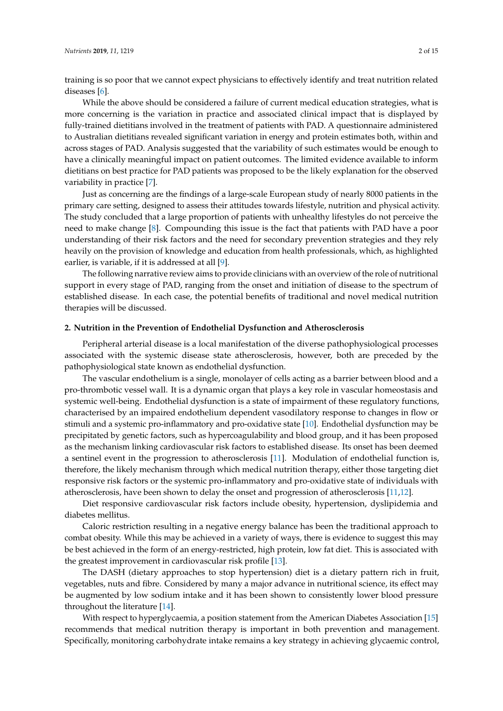training is so poor that we cannot expect physicians to effectively identify and treat nutrition related diseases [\[6\]](#page-10-5).

While the above should be considered a failure of current medical education strategies, what is more concerning is the variation in practice and associated clinical impact that is displayed by fully-trained dietitians involved in the treatment of patients with PAD. A questionnaire administered to Australian dietitians revealed significant variation in energy and protein estimates both, within and across stages of PAD. Analysis suggested that the variability of such estimates would be enough to have a clinically meaningful impact on patient outcomes. The limited evidence available to inform dietitians on best practice for PAD patients was proposed to be the likely explanation for the observed variability in practice [\[7\]](#page-10-6).

Just as concerning are the findings of a large-scale European study of nearly 8000 patients in the primary care setting, designed to assess their attitudes towards lifestyle, nutrition and physical activity. The study concluded that a large proportion of patients with unhealthy lifestyles do not perceive the need to make change [\[8\]](#page-10-7). Compounding this issue is the fact that patients with PAD have a poor understanding of their risk factors and the need for secondary prevention strategies and they rely heavily on the provision of knowledge and education from health professionals, which, as highlighted earlier, is variable, if it is addressed at all [\[9\]](#page-10-8).

The following narrative review aims to provide clinicians with an overview of the role of nutritional support in every stage of PAD, ranging from the onset and initiation of disease to the spectrum of established disease. In each case, the potential benefits of traditional and novel medical nutrition therapies will be discussed.

#### **2. Nutrition in the Prevention of Endothelial Dysfunction and Atherosclerosis**

Peripheral arterial disease is a local manifestation of the diverse pathophysiological processes associated with the systemic disease state atherosclerosis, however, both are preceded by the pathophysiological state known as endothelial dysfunction.

The vascular endothelium is a single, monolayer of cells acting as a barrier between blood and a pro-thrombotic vessel wall. It is a dynamic organ that plays a key role in vascular homeostasis and systemic well-being. Endothelial dysfunction is a state of impairment of these regulatory functions, characterised by an impaired endothelium dependent vasodilatory response to changes in flow or stimuli and a systemic pro-inflammatory and pro-oxidative state [\[10\]](#page-10-9). Endothelial dysfunction may be precipitated by genetic factors, such as hypercoagulability and blood group, and it has been proposed as the mechanism linking cardiovascular risk factors to established disease. Its onset has been deemed a sentinel event in the progression to atherosclerosis [\[11\]](#page-10-10). Modulation of endothelial function is, therefore, the likely mechanism through which medical nutrition therapy, either those targeting diet responsive risk factors or the systemic pro-inflammatory and pro-oxidative state of individuals with atherosclerosis, have been shown to delay the onset and progression of atherosclerosis [\[11,](#page-10-10)[12\]](#page-10-11).

Diet responsive cardiovascular risk factors include obesity, hypertension, dyslipidemia and diabetes mellitus.

Caloric restriction resulting in a negative energy balance has been the traditional approach to combat obesity. While this may be achieved in a variety of ways, there is evidence to suggest this may be best achieved in the form of an energy-restricted, high protein, low fat diet. This is associated with the greatest improvement in cardiovascular risk profile [\[13\]](#page-10-12).

The DASH (dietary approaches to stop hypertension) diet is a dietary pattern rich in fruit, vegetables, nuts and fibre. Considered by many a major advance in nutritional science, its effect may be augmented by low sodium intake and it has been shown to consistently lower blood pressure throughout the literature [\[14\]](#page-10-13).

With respect to hyperglycaemia, a position statement from the American Diabetes Association [\[15\]](#page-10-14) recommends that medical nutrition therapy is important in both prevention and management. Specifically, monitoring carbohydrate intake remains a key strategy in achieving glycaemic control,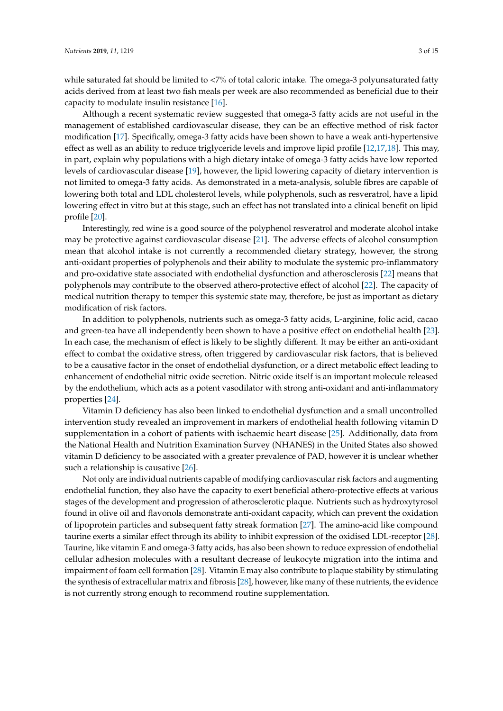while saturated fat should be limited to <7% of total caloric intake. The omega-3 polyunsaturated fatty acids derived from at least two fish meals per week are also recommended as beneficial due to their capacity to modulate insulin resistance [\[16\]](#page-10-15).

Although a recent systematic review suggested that omega-3 fatty acids are not useful in the management of established cardiovascular disease, they can be an effective method of risk factor modification [\[17\]](#page-10-16). Specifically, omega-3 fatty acids have been shown to have a weak anti-hypertensive effect as well as an ability to reduce triglyceride levels and improve lipid profile [\[12](#page-10-11)[,17](#page-10-16)[,18\]](#page-10-17). This may, in part, explain why populations with a high dietary intake of omega-3 fatty acids have low reported levels of cardiovascular disease [\[19\]](#page-10-18), however, the lipid lowering capacity of dietary intervention is not limited to omega-3 fatty acids. As demonstrated in a meta-analysis, soluble fibres are capable of lowering both total and LDL cholesterol levels, while polyphenols, such as resveratrol, have a lipid lowering effect in vitro but at this stage, such an effect has not translated into a clinical benefit on lipid profile [\[20\]](#page-10-19).

Interestingly, red wine is a good source of the polyphenol resveratrol and moderate alcohol intake may be protective against cardiovascular disease [\[21\]](#page-10-20). The adverse effects of alcohol consumption mean that alcohol intake is not currently a recommended dietary strategy, however, the strong anti-oxidant properties of polyphenols and their ability to modulate the systemic pro-inflammatory and pro-oxidative state associated with endothelial dysfunction and atherosclerosis [\[22\]](#page-10-21) means that polyphenols may contribute to the observed athero-protective effect of alcohol [\[22\]](#page-10-21). The capacity of medical nutrition therapy to temper this systemic state may, therefore, be just as important as dietary modification of risk factors.

In addition to polyphenols, nutrients such as omega-3 fatty acids, L-arginine, folic acid, cacao and green-tea have all independently been shown to have a positive effect on endothelial health [\[23\]](#page-11-0). In each case, the mechanism of effect is likely to be slightly different. It may be either an anti-oxidant effect to combat the oxidative stress, often triggered by cardiovascular risk factors, that is believed to be a causative factor in the onset of endothelial dysfunction, or a direct metabolic effect leading to enhancement of endothelial nitric oxide secretion. Nitric oxide itself is an important molecule released by the endothelium, which acts as a potent vasodilator with strong anti-oxidant and anti-inflammatory properties [\[24\]](#page-11-1).

Vitamin D deficiency has also been linked to endothelial dysfunction and a small uncontrolled intervention study revealed an improvement in markers of endothelial health following vitamin D supplementation in a cohort of patients with ischaemic heart disease [\[25\]](#page-11-2). Additionally, data from the National Health and Nutrition Examination Survey (NHANES) in the United States also showed vitamin D deficiency to be associated with a greater prevalence of PAD, however it is unclear whether such a relationship is causative [\[26\]](#page-11-3).

Not only are individual nutrients capable of modifying cardiovascular risk factors and augmenting endothelial function, they also have the capacity to exert beneficial athero-protective effects at various stages of the development and progression of atherosclerotic plaque. Nutrients such as hydroxytyrosol found in olive oil and flavonols demonstrate anti-oxidant capacity, which can prevent the oxidation of lipoprotein particles and subsequent fatty streak formation [\[27\]](#page-11-4). The amino-acid like compound taurine exerts a similar effect through its ability to inhibit expression of the oxidised LDL-receptor [\[28\]](#page-11-5). Taurine, like vitamin E and omega-3 fatty acids, has also been shown to reduce expression of endothelial cellular adhesion molecules with a resultant decrease of leukocyte migration into the intima and impairment of foam cell formation [\[28\]](#page-11-5). Vitamin E may also contribute to plaque stability by stimulating the synthesis of extracellular matrix and fibrosis [\[28\]](#page-11-5), however, like many of these nutrients, the evidence is not currently strong enough to recommend routine supplementation.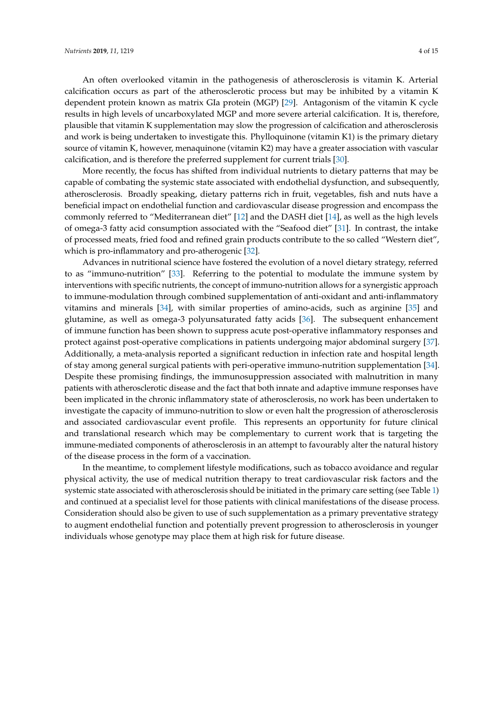An often overlooked vitamin in the pathogenesis of atherosclerosis is vitamin K. Arterial calcification occurs as part of the atherosclerotic process but may be inhibited by a vitamin K dependent protein known as matrix GIa protein (MGP) [\[29\]](#page-11-6). Antagonism of the vitamin K cycle results in high levels of uncarboxylated MGP and more severe arterial calcification. It is, therefore, plausible that vitamin K supplementation may slow the progression of calcification and atherosclerosis and work is being undertaken to investigate this. Phylloquinone (vitamin K1) is the primary dietary source of vitamin K, however, menaquinone (vitamin K2) may have a greater association with vascular calcification, and is therefore the preferred supplement for current trials [\[30\]](#page-11-7).

More recently, the focus has shifted from individual nutrients to dietary patterns that may be capable of combating the systemic state associated with endothelial dysfunction, and subsequently, atherosclerosis. Broadly speaking, dietary patterns rich in fruit, vegetables, fish and nuts have a beneficial impact on endothelial function and cardiovascular disease progression and encompass the commonly referred to "Mediterranean diet" [\[12\]](#page-10-11) and the DASH diet [\[14\]](#page-10-13), as well as the high levels of omega-3 fatty acid consumption associated with the "Seafood diet" [\[31\]](#page-11-8). In contrast, the intake of processed meats, fried food and refined grain products contribute to the so called "Western diet", which is pro-inflammatory and pro-atherogenic [\[32\]](#page-11-9).

Advances in nutritional science have fostered the evolution of a novel dietary strategy, referred to as "immuno-nutrition" [\[33\]](#page-11-10). Referring to the potential to modulate the immune system by interventions with specific nutrients, the concept of immuno-nutrition allows for a synergistic approach to immune-modulation through combined supplementation of anti-oxidant and anti-inflammatory vitamins and minerals [\[34\]](#page-11-11), with similar properties of amino-acids, such as arginine [\[35\]](#page-11-12) and glutamine, as well as omega-3 polyunsaturated fatty acids [\[36\]](#page-11-13). The subsequent enhancement of immune function has been shown to suppress acute post-operative inflammatory responses and protect against post-operative complications in patients undergoing major abdominal surgery [\[37\]](#page-11-14). Additionally, a meta-analysis reported a significant reduction in infection rate and hospital length of stay among general surgical patients with peri-operative immuno-nutrition supplementation [\[34\]](#page-11-11). Despite these promising findings, the immunosuppression associated with malnutrition in many patients with atherosclerotic disease and the fact that both innate and adaptive immune responses have been implicated in the chronic inflammatory state of atherosclerosis, no work has been undertaken to investigate the capacity of immuno-nutrition to slow or even halt the progression of atherosclerosis and associated cardiovascular event profile. This represents an opportunity for future clinical and translational research which may be complementary to current work that is targeting the immune-mediated components of atherosclerosis in an attempt to favourably alter the natural history of the disease process in the form of a vaccination.

In the meantime, to complement lifestyle modifications, such as tobacco avoidance and regular physical activity, the use of medical nutrition therapy to treat cardiovascular risk factors and the systemic state associated with atherosclerosis should be initiated in the primary care setting (see Table [1\)](#page-4-0) and continued at a specialist level for those patients with clinical manifestations of the disease process. Consideration should also be given to use of such supplementation as a primary preventative strategy to augment endothelial function and potentially prevent progression to atherosclerosis in younger individuals whose genotype may place them at high risk for future disease.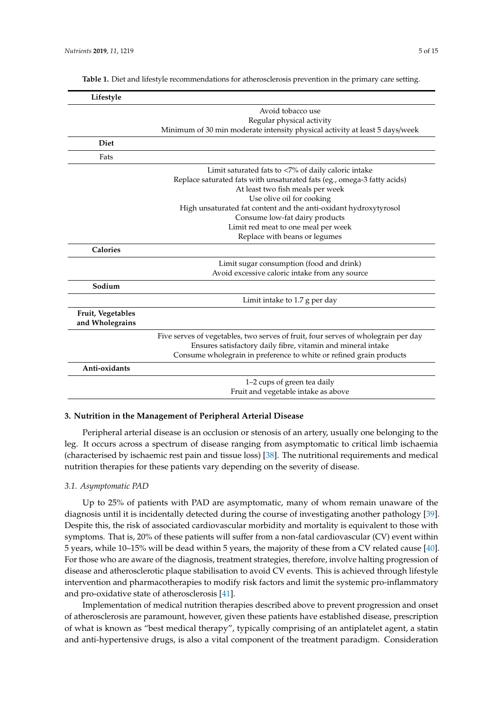| Lifestyle                            |                                                                                                                                                                                                                          |
|--------------------------------------|--------------------------------------------------------------------------------------------------------------------------------------------------------------------------------------------------------------------------|
|                                      | Avoid tobacco use                                                                                                                                                                                                        |
|                                      | Regular physical activity                                                                                                                                                                                                |
|                                      | Minimum of 30 min moderate intensity physical activity at least 5 days/week                                                                                                                                              |
| <b>Diet</b>                          |                                                                                                                                                                                                                          |
| Fats                                 |                                                                                                                                                                                                                          |
|                                      | Limit saturated fats to $\langle 7\%$ of daily caloric intake                                                                                                                                                            |
|                                      | Replace saturated fats with unsaturated fats (eg., omega-3 fatty acids)                                                                                                                                                  |
|                                      | At least two fish meals per week                                                                                                                                                                                         |
|                                      | Use olive oil for cooking                                                                                                                                                                                                |
|                                      | High unsaturated fat content and the anti-oxidant hydroxytyrosol                                                                                                                                                         |
|                                      | Consume low-fat dairy products                                                                                                                                                                                           |
|                                      | Limit red meat to one meal per week                                                                                                                                                                                      |
|                                      | Replace with beans or legumes                                                                                                                                                                                            |
| <b>Calories</b>                      |                                                                                                                                                                                                                          |
|                                      | Limit sugar consumption (food and drink)                                                                                                                                                                                 |
|                                      | Avoid excessive caloric intake from any source                                                                                                                                                                           |
| Sodium                               |                                                                                                                                                                                                                          |
|                                      | Limit intake to 1.7 g per day                                                                                                                                                                                            |
| Fruit, Vegetables<br>and Wholegrains |                                                                                                                                                                                                                          |
|                                      | Five serves of vegetables, two serves of fruit, four serves of wholegrain per day<br>Ensures satisfactory daily fibre, vitamin and mineral intake<br>Consume wholegrain in preference to white or refined grain products |
| Anti-oxidants                        |                                                                                                                                                                                                                          |
|                                      | 1-2 cups of green tea daily<br>Fruit and vegetable intake as above                                                                                                                                                       |

<span id="page-4-0"></span>**Table 1.** Diet and lifestyle recommendations for atherosclerosis prevention in the primary care setting.

### **3. Nutrition in the Management of Peripheral Arterial Disease**

Peripheral arterial disease is an occlusion or stenosis of an artery, usually one belonging to the leg. It occurs across a spectrum of disease ranging from asymptomatic to critical limb ischaemia (characterised by ischaemic rest pain and tissue loss) [\[38\]](#page-11-15). The nutritional requirements and medical nutrition therapies for these patients vary depending on the severity of disease.

## *3.1. Asymptomatic PAD*

Up to 25% of patients with PAD are asymptomatic, many of whom remain unaware of the diagnosis until it is incidentally detected during the course of investigating another pathology [\[39\]](#page-11-16). Despite this, the risk of associated cardiovascular morbidity and mortality is equivalent to those with symptoms. That is, 20% of these patients will suffer from a non-fatal cardiovascular (CV) event within 5 years, while 10–15% will be dead within 5 years, the majority of these from a CV related cause [\[40\]](#page-11-17). For those who are aware of the diagnosis, treatment strategies, therefore, involve halting progression of disease and atherosclerotic plaque stabilisation to avoid CV events. This is achieved through lifestyle intervention and pharmacotherapies to modify risk factors and limit the systemic pro-inflammatory and pro-oxidative state of atherosclerosis [\[41\]](#page-11-18).

Implementation of medical nutrition therapies described above to prevent progression and onset of atherosclerosis are paramount, however, given these patients have established disease, prescription of what is known as "best medical therapy", typically comprising of an antiplatelet agent, a statin and anti-hypertensive drugs, is also a vital component of the treatment paradigm. Consideration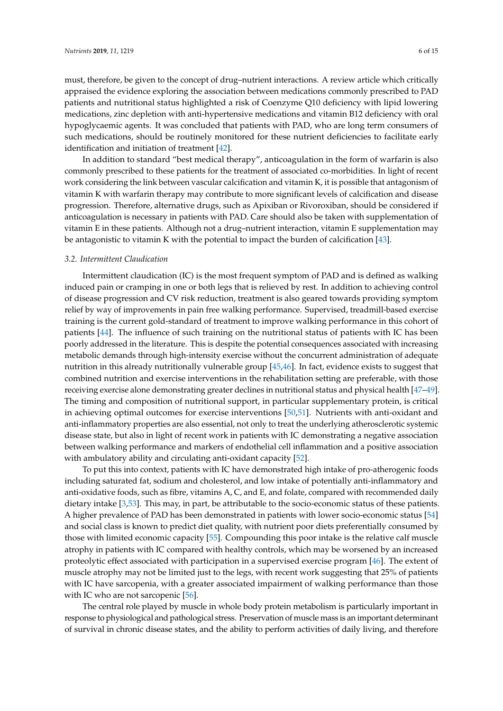must, therefore, be given to the concept of drug–nutrient interactions. A review article which critically appraised the evidence exploring the association between medications commonly prescribed to PAD patients and nutritional status highlighted a risk of Coenzyme Q10 deficiency with lipid lowering medications, zinc depletion with anti-hypertensive medications and vitamin B12 deficiency with oral hypoglycaemic agents. It was concluded that patients with PAD, who are long term consumers of such medications, should be routinely monitored for these nutrient deficiencies to facilitate early identification and initiation of treatment [\[42\]](#page-11-19).

In addition to standard "best medical therapy", anticoagulation in the form of warfarin is also commonly prescribed to these patients for the treatment of associated co-morbidities. In light of recent work considering the link between vascular calcification and vitamin K, it is possible that antagonism of vitamin K with warfarin therapy may contribute to more significant levels of calcification and disease progression. Therefore, alternative drugs, such as Apixiban or Rivoroxiban, should be considered if anticoagulation is necessary in patients with PAD. Care should also be taken with supplementation of vitamin E in these patients. Although not a drug–nutrient interaction, vitamin E supplementation may be antagonistic to vitamin K with the potential to impact the burden of calcification [\[43\]](#page-12-0).

#### *3.2. Intermittent Claudication*

Intermittent claudication (IC) is the most frequent symptom of PAD and is defined as walking induced pain or cramping in one or both legs that is relieved by rest. In addition to achieving control of disease progression and CV risk reduction, treatment is also geared towards providing symptom relief by way of improvements in pain free walking performance. Supervised, treadmill-based exercise training is the current gold-standard of treatment to improve walking performance in this cohort of patients [\[44\]](#page-12-1). The influence of such training on the nutritional status of patients with IC has been poorly addressed in the literature. This is despite the potential consequences associated with increasing metabolic demands through high-intensity exercise without the concurrent administration of adequate nutrition in this already nutritionally vulnerable group [\[45](#page-12-2)[,46\]](#page-12-3). In fact, evidence exists to suggest that combined nutrition and exercise interventions in the rehabilitation setting are preferable, with those receiving exercise alone demonstrating greater declines in nutritional status and physical health [\[47–](#page-12-4)[49\]](#page-12-5). The timing and composition of nutritional support, in particular supplementary protein, is critical in achieving optimal outcomes for exercise interventions [\[50](#page-12-6)[,51\]](#page-12-7). Nutrients with anti-oxidant and anti-inflammatory properties are also essential, not only to treat the underlying atherosclerotic systemic disease state, but also in light of recent work in patients with IC demonstrating a negative association between walking performance and markers of endothelial cell inflammation and a positive association with ambulatory ability and circulating anti-oxidant capacity [\[52\]](#page-12-8).

To put this into context, patients with IC have demonstrated high intake of pro-atherogenic foods including saturated fat, sodium and cholesterol, and low intake of potentially anti-inflammatory and anti-oxidative foods, such as fibre, vitamins A, C, and E, and folate, compared with recommended daily dietary intake [\[3,](#page-10-2)[53\]](#page-12-9). This may, in part, be attributable to the socio-economic status of these patients. A higher prevalence of PAD has been demonstrated in patients with lower socio-economic status [\[54\]](#page-12-10) and social class is known to predict diet quality, with nutrient poor diets preferentially consumed by those with limited economic capacity [\[55\]](#page-12-11). Compounding this poor intake is the relative calf muscle atrophy in patients with IC compared with healthy controls, which may be worsened by an increased proteolytic effect associated with participation in a supervised exercise program [\[46\]](#page-12-3). The extent of muscle atrophy may not be limited just to the legs, with recent work suggesting that 25% of patients with IC have sarcopenia, with a greater associated impairment of walking performance than those with IC who are not sarcopenic [\[56\]](#page-12-12).

The central role played by muscle in whole body protein metabolism is particularly important in response to physiological and pathological stress. Preservation of muscle mass is an important determinant of survival in chronic disease states, and the ability to perform activities of daily living, and therefore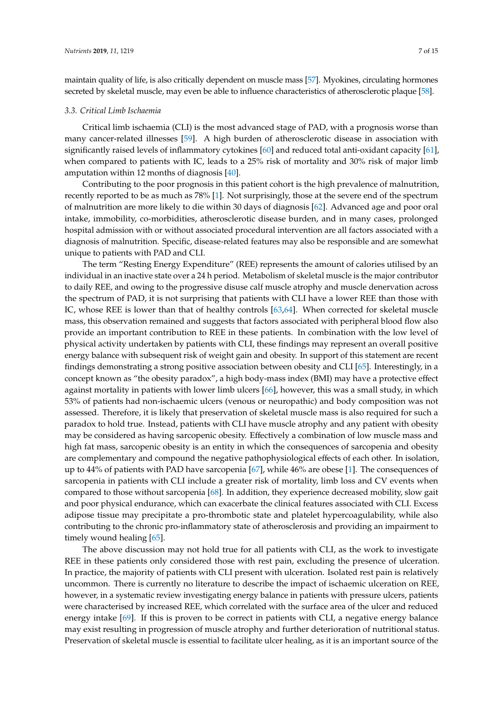maintain quality of life, is also critically dependent on muscle mass [\[57\]](#page-12-13). Myokines, circulating hormones secreted by skeletal muscle, may even be able to influence characteristics of atherosclerotic plaque [\[58\]](#page-12-14).

#### *3.3. Critical Limb Ischaemia*

Critical limb ischaemia (CLI) is the most advanced stage of PAD, with a prognosis worse than many cancer-related illnesses [\[59\]](#page-12-15). A high burden of atherosclerotic disease in association with significantly raised levels of inflammatory cytokines [\[60\]](#page-12-16) and reduced total anti-oxidant capacity [\[61\]](#page-12-17), when compared to patients with IC, leads to a 25% risk of mortality and 30% risk of major limb amputation within 12 months of diagnosis [\[40\]](#page-11-17).

Contributing to the poor prognosis in this patient cohort is the high prevalence of malnutrition, recently reported to be as much as 78% [\[1\]](#page-10-0). Not surprisingly, those at the severe end of the spectrum of malnutrition are more likely to die within 30 days of diagnosis [\[62\]](#page-12-18). Advanced age and poor oral intake, immobility, co-morbidities, atherosclerotic disease burden, and in many cases, prolonged hospital admission with or without associated procedural intervention are all factors associated with a diagnosis of malnutrition. Specific, disease-related features may also be responsible and are somewhat unique to patients with PAD and CLI.

The term "Resting Energy Expenditure" (REE) represents the amount of calories utilised by an individual in an inactive state over a 24 h period. Metabolism of skeletal muscle is the major contributor to daily REE, and owing to the progressive disuse calf muscle atrophy and muscle denervation across the spectrum of PAD, it is not surprising that patients with CLI have a lower REE than those with IC, whose REE is lower than that of healthy controls [\[63](#page-13-0)[,64\]](#page-13-1). When corrected for skeletal muscle mass, this observation remained and suggests that factors associated with peripheral blood flow also provide an important contribution to REE in these patients. In combination with the low level of physical activity undertaken by patients with CLI, these findings may represent an overall positive energy balance with subsequent risk of weight gain and obesity. In support of this statement are recent findings demonstrating a strong positive association between obesity and CLI [\[65\]](#page-13-2). Interestingly, in a concept known as "the obesity paradox", a high body-mass index (BMI) may have a protective effect against mortality in patients with lower limb ulcers [\[66\]](#page-13-3), however, this was a small study, in which 53% of patients had non-ischaemic ulcers (venous or neuropathic) and body composition was not assessed. Therefore, it is likely that preservation of skeletal muscle mass is also required for such a paradox to hold true. Instead, patients with CLI have muscle atrophy and any patient with obesity may be considered as having sarcopenic obesity. Effectively a combination of low muscle mass and high fat mass, sarcopenic obesity is an entity in which the consequences of sarcopenia and obesity are complementary and compound the negative pathophysiological effects of each other. In isolation, up to 44% of patients with PAD have sarcopenia [\[67\]](#page-13-4), while 46% are obese [\[1\]](#page-10-0). The consequences of sarcopenia in patients with CLI include a greater risk of mortality, limb loss and CV events when compared to those without sarcopenia [\[68\]](#page-13-5). In addition, they experience decreased mobility, slow gait and poor physical endurance, which can exacerbate the clinical features associated with CLI. Excess adipose tissue may precipitate a pro-thrombotic state and platelet hypercoagulability, while also contributing to the chronic pro-inflammatory state of atherosclerosis and providing an impairment to timely wound healing [\[65\]](#page-13-2).

The above discussion may not hold true for all patients with CLI, as the work to investigate REE in these patients only considered those with rest pain, excluding the presence of ulceration. In practice, the majority of patients with CLI present with ulceration. Isolated rest pain is relatively uncommon. There is currently no literature to describe the impact of ischaemic ulceration on REE, however, in a systematic review investigating energy balance in patients with pressure ulcers, patients were characterised by increased REE, which correlated with the surface area of the ulcer and reduced energy intake [\[69\]](#page-13-6). If this is proven to be correct in patients with CLI, a negative energy balance may exist resulting in progression of muscle atrophy and further deterioration of nutritional status. Preservation of skeletal muscle is essential to facilitate ulcer healing, as it is an important source of the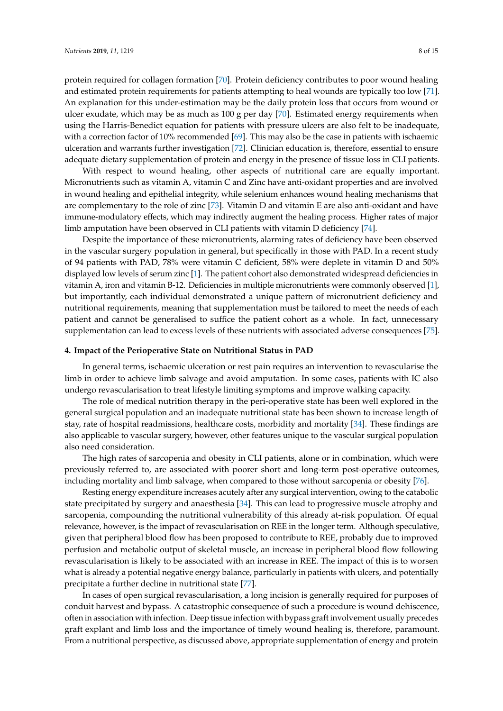protein required for collagen formation [\[70\]](#page-13-7). Protein deficiency contributes to poor wound healing and estimated protein requirements for patients attempting to heal wounds are typically too low [\[71\]](#page-13-8). An explanation for this under-estimation may be the daily protein loss that occurs from wound or ulcer exudate, which may be as much as 100 g per day [\[70\]](#page-13-7). Estimated energy requirements when using the Harris-Benedict equation for patients with pressure ulcers are also felt to be inadequate, with a correction factor of 10% recommended [\[69\]](#page-13-6). This may also be the case in patients with ischaemic ulceration and warrants further investigation [\[72\]](#page-13-9). Clinician education is, therefore, essential to ensure adequate dietary supplementation of protein and energy in the presence of tissue loss in CLI patients.

With respect to wound healing, other aspects of nutritional care are equally important. Micronutrients such as vitamin A, vitamin C and Zinc have anti-oxidant properties and are involved in wound healing and epithelial integrity, while selenium enhances wound healing mechanisms that are complementary to the role of zinc [\[73\]](#page-13-10). Vitamin D and vitamin E are also anti-oxidant and have immune-modulatory effects, which may indirectly augment the healing process. Higher rates of major limb amputation have been observed in CLI patients with vitamin D deficiency [\[74\]](#page-13-11).

Despite the importance of these micronutrients, alarming rates of deficiency have been observed in the vascular surgery population in general, but specifically in those with PAD. In a recent study of 94 patients with PAD, 78% were vitamin C deficient, 58% were deplete in vitamin D and 50% displayed low levels of serum zinc [\[1\]](#page-10-0). The patient cohort also demonstrated widespread deficiencies in vitamin A, iron and vitamin B-12. Deficiencies in multiple micronutrients were commonly observed [\[1\]](#page-10-0), but importantly, each individual demonstrated a unique pattern of micronutrient deficiency and nutritional requirements, meaning that supplementation must be tailored to meet the needs of each patient and cannot be generalised to suffice the patient cohort as a whole. In fact, unnecessary supplementation can lead to excess levels of these nutrients with associated adverse consequences [\[75\]](#page-13-12).

#### **4. Impact of the Perioperative State on Nutritional Status in PAD**

In general terms, ischaemic ulceration or rest pain requires an intervention to revascularise the limb in order to achieve limb salvage and avoid amputation. In some cases, patients with IC also undergo revascularisation to treat lifestyle limiting symptoms and improve walking capacity.

The role of medical nutrition therapy in the peri-operative state has been well explored in the general surgical population and an inadequate nutritional state has been shown to increase length of stay, rate of hospital readmissions, healthcare costs, morbidity and mortality [\[34\]](#page-11-11). These findings are also applicable to vascular surgery, however, other features unique to the vascular surgical population also need consideration.

The high rates of sarcopenia and obesity in CLI patients, alone or in combination, which were previously referred to, are associated with poorer short and long-term post-operative outcomes, including mortality and limb salvage, when compared to those without sarcopenia or obesity [\[76\]](#page-13-13).

Resting energy expenditure increases acutely after any surgical intervention, owing to the catabolic state precipitated by surgery and anaesthesia [\[34\]](#page-11-11). This can lead to progressive muscle atrophy and sarcopenia, compounding the nutritional vulnerability of this already at-risk population. Of equal relevance, however, is the impact of revascularisation on REE in the longer term. Although speculative, given that peripheral blood flow has been proposed to contribute to REE, probably due to improved perfusion and metabolic output of skeletal muscle, an increase in peripheral blood flow following revascularisation is likely to be associated with an increase in REE. The impact of this is to worsen what is already a potential negative energy balance, particularly in patients with ulcers, and potentially precipitate a further decline in nutritional state [\[77\]](#page-13-14).

In cases of open surgical revascularisation, a long incision is generally required for purposes of conduit harvest and bypass. A catastrophic consequence of such a procedure is wound dehiscence, often in association with infection. Deep tissue infection with bypass graft involvement usually precedes graft explant and limb loss and the importance of timely wound healing is, therefore, paramount. From a nutritional perspective, as discussed above, appropriate supplementation of energy and protein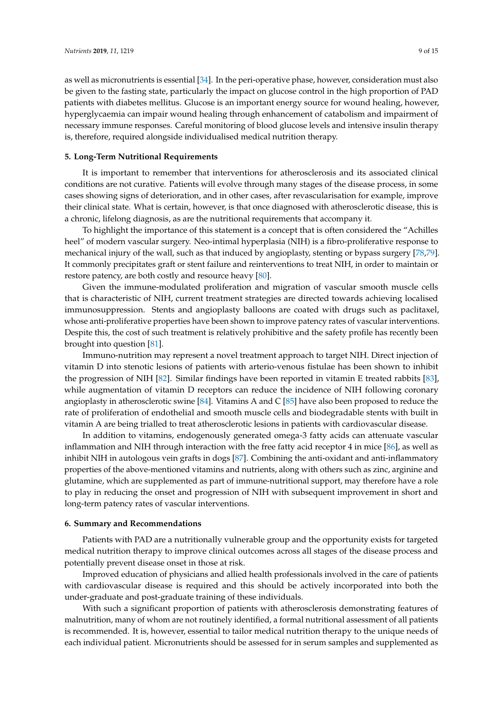as well as micronutrients is essential [\[34\]](#page-11-11). In the peri-operative phase, however, consideration must also be given to the fasting state, particularly the impact on glucose control in the high proportion of PAD patients with diabetes mellitus. Glucose is an important energy source for wound healing, however, hyperglycaemia can impair wound healing through enhancement of catabolism and impairment of necessary immune responses. Careful monitoring of blood glucose levels and intensive insulin therapy is, therefore, required alongside individualised medical nutrition therapy.

#### **5. Long-Term Nutritional Requirements**

It is important to remember that interventions for atherosclerosis and its associated clinical conditions are not curative. Patients will evolve through many stages of the disease process, in some cases showing signs of deterioration, and in other cases, after revascularisation for example, improve their clinical state. What is certain, however, is that once diagnosed with atherosclerotic disease, this is a chronic, lifelong diagnosis, as are the nutritional requirements that accompany it.

To highlight the importance of this statement is a concept that is often considered the "Achilles heel" of modern vascular surgery. Neo-intimal hyperplasia (NIH) is a fibro-proliferative response to mechanical injury of the wall, such as that induced by angioplasty, stenting or bypass surgery [\[78,](#page-13-15)[79\]](#page-13-16). It commonly precipitates graft or stent failure and reinterventions to treat NIH, in order to maintain or restore patency, are both costly and resource heavy [\[80\]](#page-13-17).

Given the immune-modulated proliferation and migration of vascular smooth muscle cells that is characteristic of NIH, current treatment strategies are directed towards achieving localised immunosuppression. Stents and angioplasty balloons are coated with drugs such as paclitaxel, whose anti-proliferative properties have been shown to improve patency rates of vascular interventions. Despite this, the cost of such treatment is relatively prohibitive and the safety profile has recently been brought into question [\[81\]](#page-13-18).

Immuno-nutrition may represent a novel treatment approach to target NIH. Direct injection of vitamin D into stenotic lesions of patients with arterio-venous fistulae has been shown to inhibit the progression of NIH [\[82\]](#page-13-19). Similar findings have been reported in vitamin E treated rabbits [\[83\]](#page-14-0), while augmentation of vitamin D receptors can reduce the incidence of NIH following coronary angioplasty in atherosclerotic swine [\[84\]](#page-14-1). Vitamins A and C [\[85\]](#page-14-2) have also been proposed to reduce the rate of proliferation of endothelial and smooth muscle cells and biodegradable stents with built in vitamin A are being trialled to treat atherosclerotic lesions in patients with cardiovascular disease.

In addition to vitamins, endogenously generated omega-3 fatty acids can attenuate vascular inflammation and NIH through interaction with the free fatty acid receptor 4 in mice [\[86\]](#page-14-3), as well as inhibit NIH in autologous vein grafts in dogs [\[87\]](#page-14-4). Combining the anti-oxidant and anti-inflammatory properties of the above-mentioned vitamins and nutrients, along with others such as zinc, arginine and glutamine, which are supplemented as part of immune-nutritional support, may therefore have a role to play in reducing the onset and progression of NIH with subsequent improvement in short and long-term patency rates of vascular interventions.

#### **6. Summary and Recommendations**

Patients with PAD are a nutritionally vulnerable group and the opportunity exists for targeted medical nutrition therapy to improve clinical outcomes across all stages of the disease process and potentially prevent disease onset in those at risk.

Improved education of physicians and allied health professionals involved in the care of patients with cardiovascular disease is required and this should be actively incorporated into both the under-graduate and post-graduate training of these individuals.

With such a significant proportion of patients with atherosclerosis demonstrating features of malnutrition, many of whom are not routinely identified, a formal nutritional assessment of all patients is recommended. It is, however, essential to tailor medical nutrition therapy to the unique needs of each individual patient. Micronutrients should be assessed for in serum samples and supplemented as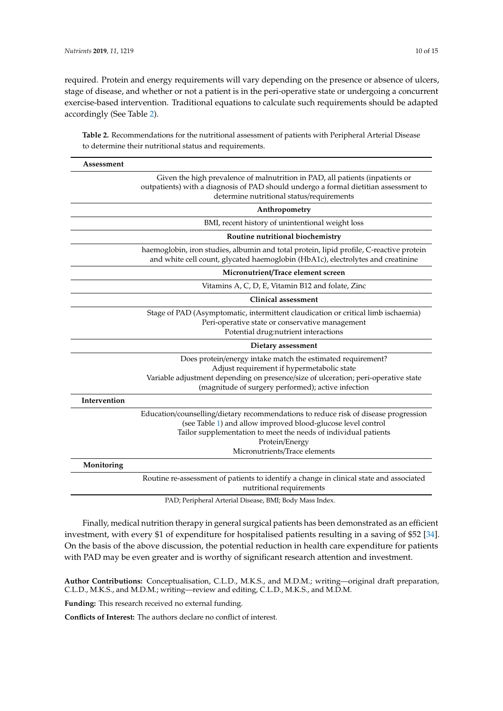required. Protein and energy requirements will vary depending on the presence or absence of ulcers, stage of disease, and whether or not a patient is in the peri-operative state or undergoing a concurrent exercise-based intervention. Traditional equations to calculate such requirements should be adapted accordingly (See Table [2\)](#page-9-0).

<span id="page-9-0"></span>**Table 2.** Recommendations for the nutritional assessment of patients with Peripheral Arterial Disease to determine their nutritional status and requirements.

| Assessment   |                                                                                                                                                                                                                                                                           |
|--------------|---------------------------------------------------------------------------------------------------------------------------------------------------------------------------------------------------------------------------------------------------------------------------|
|              | Given the high prevalence of malnutrition in PAD, all patients (inpatients or<br>outpatients) with a diagnosis of PAD should undergo a formal dietitian assessment to<br>determine nutritional status/requirements                                                        |
|              | Anthropometry                                                                                                                                                                                                                                                             |
|              | BMI, recent history of unintentional weight loss                                                                                                                                                                                                                          |
|              | Routine nutritional biochemistry                                                                                                                                                                                                                                          |
|              | haemoglobin, iron studies, albumin and total protein, lipid profile, C-reactive protein<br>and white cell count, glycated haemoglobin (HbA1c), electrolytes and creatinine                                                                                                |
|              | Micronutrient/Trace element screen                                                                                                                                                                                                                                        |
|              | Vitamins A, C, D, E, Vitamin B12 and folate, Zinc                                                                                                                                                                                                                         |
|              | Clinical assessment                                                                                                                                                                                                                                                       |
|              | Stage of PAD (Asymptomatic, intermittent claudication or critical limb ischaemia)<br>Peri-operative state or conservative management<br>Potential drug:nutrient interactions                                                                                              |
|              | Dietary assessment                                                                                                                                                                                                                                                        |
|              | Does protein/energy intake match the estimated requirement?<br>Adjust requirement if hypermetabolic state<br>Variable adjustment depending on presence/size of ulceration; peri-operative state<br>(magnitude of surgery performed); active infection                     |
| Intervention |                                                                                                                                                                                                                                                                           |
|              | Education/counselling/dietary recommendations to reduce risk of disease progression<br>(see Table 1) and allow improved blood-glucose level control<br>Tailor supplementation to meet the needs of individual patients<br>Protein/Energy<br>Micronutrients/Trace elements |
| Monitoring   |                                                                                                                                                                                                                                                                           |
|              | Routine re-assessment of patients to identify a change in clinical state and associated<br>nutritional requirements                                                                                                                                                       |
|              | PAD; Peripheral Arterial Disease, BMI; Body Mass Index.                                                                                                                                                                                                                   |

Finally, medical nutrition therapy in general surgical patients has been demonstrated as an efficient investment, with every \$1 of expenditure for hospitalised patients resulting in a saving of \$52 [\[34\]](#page-11-11). On the basis of the above discussion, the potential reduction in health care expenditure for patients with PAD may be even greater and is worthy of significant research attention and investment.

**Funding:** This research received no external funding.

**Conflicts of Interest:** The authors declare no conflict of interest.

**Author Contributions:** Conceptualisation, C.L.D., M.K.S., and M.D.M.; writing—original draft preparation, C.L.D., M.K.S., and M.D.M.; writing—review and editing, C.L.D., M.K.S., and M.D.M.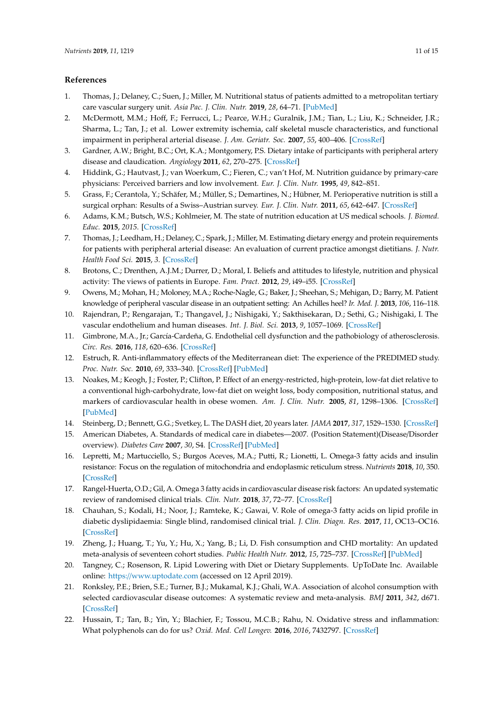## **References**

- <span id="page-10-0"></span>1. Thomas, J.; Delaney, C.; Suen, J.; Miller, M. Nutritional status of patients admitted to a metropolitan tertiary care vascular surgery unit. *Asia Pac. J. Clin. Nutr.* **2019**, *28*, 64–71. [\[PubMed\]](http://www.ncbi.nlm.nih.gov/pubmed/30896416)
- <span id="page-10-1"></span>2. McDermott, M.M.; Hoff, F.; Ferrucci, L.; Pearce, W.H.; Guralnik, J.M.; Tian, L.; Liu, K.; Schneider, J.R.; Sharma, L.; Tan, J.; et al. Lower extremity ischemia, calf skeletal muscle characteristics, and functional impairment in peripheral arterial disease. *J. Am. Geriatr. Soc.* **2007**, *55*, 400–406. [\[CrossRef\]](http://dx.doi.org/10.1111/j.1532-5415.2007.01092.x)
- <span id="page-10-2"></span>3. Gardner, A.W.; Bright, B.C.; Ort, K.A.; Montgomery, P.S. Dietary intake of participants with peripheral artery disease and claudication. *Angiology* **2011**, *62*, 270–275. [\[CrossRef\]](http://dx.doi.org/10.1177/0003319710384395)
- <span id="page-10-3"></span>4. Hiddink, G.; Hautvast, J.; van Woerkum, C.; Fieren, C.; van't Hof, M. Nutrition guidance by primary-care physicians: Perceived barriers and low involvement. *Eur. J. Clin. Nutr.* **1995**, *49*, 842–851.
- <span id="page-10-4"></span>5. Grass, F.; Cerantola, Y.; Schäfer, M.; Müller, S.; Demartines, N.; Hübner, M. Perioperative nutrition is still a surgical orphan: Results of a Swiss–Austrian survey. *Eur. J. Clin. Nutr.* **2011**, *65*, 642–647. [\[CrossRef\]](http://dx.doi.org/10.1038/ejcn.2011.13)
- <span id="page-10-5"></span>6. Adams, K.M.; Butsch, W.S.; Kohlmeier, M. The state of nutrition education at US medical schools. *J. Biomed. Educ.* **2015**, *2015*. [\[CrossRef\]](http://dx.doi.org/10.1155/2015/357627)
- <span id="page-10-6"></span>7. Thomas, J.; Leedham, H.; Delaney, C.; Spark, J.; Miller, M. Estimating dietary energy and protein requirements for patients with peripheral arterial disease: An evaluation of current practice amongst dietitians. *J. Nutr. Health Food Sci.* **2015**, *3*. [\[CrossRef\]](http://dx.doi.org/10.15226/jnhfs.2015.00139)
- <span id="page-10-7"></span>8. Brotons, C.; Drenthen, A.J.M.; Durrer, D.; Moral, I. Beliefs and attitudes to lifestyle, nutrition and physical activity: The views of patients in Europe. *Fam. Pract.* **2012**, *29*, i49–i55. [\[CrossRef\]](http://dx.doi.org/10.1093/fampra/cmr091)
- <span id="page-10-8"></span>9. Owens, M.; Mohan, H.; Moloney, M.A.; Roche-Nagle, G.; Baker, J.; Sheehan, S.; Mehigan, D.; Barry, M. Patient knowledge of peripheral vascular disease in an outpatient setting: An Achilles heel? *Ir. Med. J.* **2013**, *106*, 116–118.
- <span id="page-10-9"></span>10. Rajendran, P.; Rengarajan, T.; Thangavel, J.; Nishigaki, Y.; Sakthisekaran, D.; Sethi, G.; Nishigaki, I. The vascular endothelium and human diseases. *Int. J. Biol. Sci.* **2013**, *9*, 1057–1069. [\[CrossRef\]](http://dx.doi.org/10.7150/ijbs.7502)
- <span id="page-10-10"></span>11. Gimbrone, M.A., Jr.; García-Cardeña, G. Endothelial cell dysfunction and the pathobiology of atherosclerosis. *Circ. Res.* **2016**, *118*, 620–636. [\[CrossRef\]](http://dx.doi.org/10.1161/CIRCRESAHA.115.306301)
- <span id="page-10-11"></span>12. Estruch, R. Anti-inflammatory effects of the Mediterranean diet: The experience of the PREDIMED study. *Proc. Nutr. Soc.* **2010**, *69*, 333–340. [\[CrossRef\]](http://dx.doi.org/10.1017/S0029665110001539) [\[PubMed\]](http://www.ncbi.nlm.nih.gov/pubmed/20515519)
- <span id="page-10-12"></span>13. Noakes, M.; Keogh, J.; Foster, P.; Clifton, P. Effect of an energy-restricted, high-protein, low-fat diet relative to a conventional high-carbohydrate, low-fat diet on weight loss, body composition, nutritional status, and markers of cardiovascular health in obese women. *Am. J. Clin. Nutr.* **2005**, *81*, 1298–1306. [\[CrossRef\]](http://dx.doi.org/10.1093/ajcn/81.6.1298) [\[PubMed\]](http://www.ncbi.nlm.nih.gov/pubmed/15941879)
- <span id="page-10-13"></span>14. Steinberg, D.; Bennett, G.G.; Svetkey, L. The DASH diet, 20 years later. *JAMA* **2017**, *317*, 1529–1530. [\[CrossRef\]](http://dx.doi.org/10.1001/jama.2017.1628)
- <span id="page-10-14"></span>15. American Diabetes, A. Standards of medical care in diabetes—2007. (Position Statement)(Disease/Disorder overview). *Diabetes Care* **2007**, *30*, S4. [\[CrossRef\]](http://dx.doi.org/10.2337/dc07-S004) [\[PubMed\]](http://www.ncbi.nlm.nih.gov/pubmed/17192377)
- <span id="page-10-15"></span>16. Lepretti, M.; Martucciello, S.; Burgos Aceves, M.A.; Putti, R.; Lionetti, L. Omega-3 fatty acids and insulin resistance: Focus on the regulation of mitochondria and endoplasmic reticulum stress. *Nutrients* **2018**, *10*, 350. [\[CrossRef\]](http://dx.doi.org/10.3390/nu10030350)
- <span id="page-10-16"></span>17. Rangel-Huerta, O.D.; Gil, A. Omega 3 fatty acids in cardiovascular disease risk factors: An updated systematic review of randomised clinical trials. *Clin. Nutr.* **2018**, *37*, 72–77. [\[CrossRef\]](http://dx.doi.org/10.1016/j.clnu.2017.05.015)
- <span id="page-10-17"></span>18. Chauhan, S.; Kodali, H.; Noor, J.; Ramteke, K.; Gawai, V. Role of omega-3 fatty acids on lipid profile in diabetic dyslipidaemia: Single blind, randomised clinical trial. *J. Clin. Diagn. Res.* **2017**, *11*, OC13–OC16. [\[CrossRef\]](http://dx.doi.org/10.7860/JCDR/2017/20628.9449)
- <span id="page-10-18"></span>19. Zheng, J.; Huang, T.; Yu, Y.; Hu, X.; Yang, B.; Li, D. Fish consumption and CHD mortality: An updated meta-analysis of seventeen cohort studies. *Public Health Nutr.* **2012**, *15*, 725–737. [\[CrossRef\]](http://dx.doi.org/10.1017/S1368980011002254) [\[PubMed\]](http://www.ncbi.nlm.nih.gov/pubmed/21914258)
- <span id="page-10-19"></span>20. Tangney, C.; Rosenson, R. Lipid Lowering with Diet or Dietary Supplements. UpToDate Inc. Available online: https://[www.uptodate.com](https://www.uptodate.com) (accessed on 12 April 2019).
- <span id="page-10-20"></span>21. Ronksley, P.E.; Brien, S.E.; Turner, B.J.; Mukamal, K.J.; Ghali, W.A. Association of alcohol consumption with selected cardiovascular disease outcomes: A systematic review and meta-analysis. *BMJ* **2011**, *342*, d671. [\[CrossRef\]](http://dx.doi.org/10.1136/bmj.d671)
- <span id="page-10-21"></span>22. Hussain, T.; Tan, B.; Yin, Y.; Blachier, F.; Tossou, M.C.B.; Rahu, N. Oxidative stress and inflammation: What polyphenols can do for us? *Oxid. Med. Cell Longev.* **2016**, *2016*, 7432797. [\[CrossRef\]](http://dx.doi.org/10.1155/2016/7432797)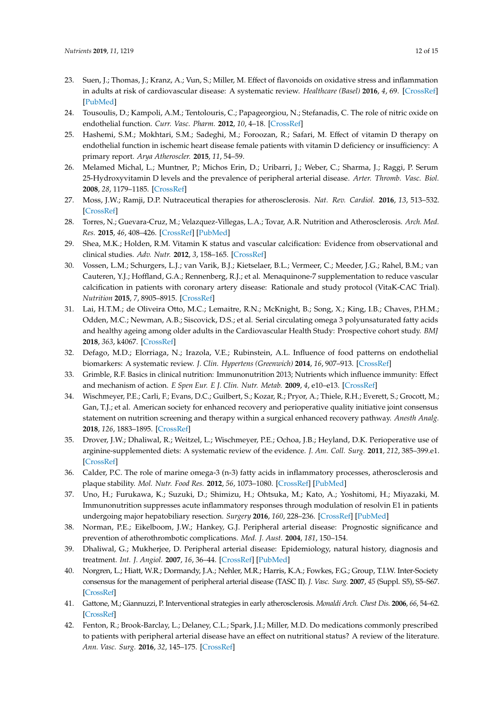- <span id="page-11-0"></span>23. Suen, J.; Thomas, J.; Kranz, A.; Vun, S.; Miller, M. Effect of flavonoids on oxidative stress and inflammation in adults at risk of cardiovascular disease: A systematic review. *Healthcare (Basel)* **2016**, *4*, 69. [\[CrossRef\]](http://dx.doi.org/10.3390/healthcare4030069) [\[PubMed\]](http://www.ncbi.nlm.nih.gov/pubmed/27649255)
- <span id="page-11-1"></span>24. Tousoulis, D.; Kampoli, A.M.; Tentolouris, C.; Papageorgiou, N.; Stefanadis, C. The role of nitric oxide on endothelial function. *Curr. Vasc. Pharm.* **2012**, *10*, 4–18. [\[CrossRef\]](http://dx.doi.org/10.2174/157016112798829760)
- <span id="page-11-2"></span>25. Hashemi, S.M.; Mokhtari, S.M.; Sadeghi, M.; Foroozan, R.; Safari, M. Effect of vitamin D therapy on endothelial function in ischemic heart disease female patients with vitamin D deficiency or insufficiency: A primary report. *Arya Atheroscler.* **2015**, *11*, 54–59.
- <span id="page-11-3"></span>26. Melamed Michal, L.; Muntner, P.; Michos Erin, D.; Uribarri, J.; Weber, C.; Sharma, J.; Raggi, P. Serum 25-Hydroxyvitamin D levels and the prevalence of peripheral arterial disease. *Arter. Thromb. Vasc. Biol.* **2008**, *28*, 1179–1185. [\[CrossRef\]](http://dx.doi.org/10.1161/ATVBAHA.108.165886)
- <span id="page-11-4"></span>27. Moss, J.W.; Ramji, D.P. Nutraceutical therapies for atherosclerosis. *Nat. Rev. Cardiol.* **2016**, *13*, 513–532. [\[CrossRef\]](http://dx.doi.org/10.1038/nrcardio.2016.103)
- <span id="page-11-5"></span>28. Torres, N.; Guevara-Cruz, M.; Velazquez-Villegas, L.A.; Tovar, A.R. Nutrition and Atherosclerosis. *Arch. Med. Res.* **2015**, *46*, 408–426. [\[CrossRef\]](http://dx.doi.org/10.1016/j.arcmed.2015.05.010) [\[PubMed\]](http://www.ncbi.nlm.nih.gov/pubmed/26031780)
- <span id="page-11-6"></span>29. Shea, M.K.; Holden, R.M. Vitamin K status and vascular calcification: Evidence from observational and clinical studies. *Adv. Nutr.* **2012**, *3*, 158–165. [\[CrossRef\]](http://dx.doi.org/10.3945/an.111.001644)
- <span id="page-11-7"></span>30. Vossen, L.M.; Schurgers, L.J.; van Varik, B.J.; Kietselaer, B.L.; Vermeer, C.; Meeder, J.G.; Rahel, B.M.; van Cauteren, Y.J.; Hoffland, G.A.; Rennenberg, R.J.; et al. Menaquinone-7 supplementation to reduce vascular calcification in patients with coronary artery disease: Rationale and study protocol (VitaK-CAC Trial). *Nutrition* **2015**, *7*, 8905–8915. [\[CrossRef\]](http://dx.doi.org/10.3390/nu7115443)
- <span id="page-11-8"></span>31. Lai, H.T.M.; de Oliveira Otto, M.C.; Lemaitre, R.N.; McKnight, B.; Song, X.; King, I.B.; Chaves, P.H.M.; Odden, M.C.; Newman, A.B.; Siscovick, D.S.; et al. Serial circulating omega 3 polyunsaturated fatty acids and healthy ageing among older adults in the Cardiovascular Health Study: Prospective cohort study. *BMJ* **2018**, *363*, k4067. [\[CrossRef\]](http://dx.doi.org/10.1136/bmj.k4067)
- <span id="page-11-9"></span>32. Defago, M.D.; Elorriaga, N.; Irazola, V.E.; Rubinstein, A.L. Influence of food patterns on endothelial biomarkers: A systematic review. *J. Clin. Hypertens (Greenwich)* **2014**, *16*, 907–913. [\[CrossRef\]](http://dx.doi.org/10.1111/jch.12431)
- <span id="page-11-10"></span>33. Grimble, R.F. Basics in clinical nutrition: Immunonutrition 2013; Nutrients which influence immunity: Effect and mechanism of action. *E Spen Eur. E J. Clin. Nutr. Metab.* **2009**, *4*, e10–e13. [\[CrossRef\]](http://dx.doi.org/10.1016/j.eclnm.2008.07.015)
- <span id="page-11-11"></span>34. Wischmeyer, P.E.; Carli, F.; Evans, D.C.; Guilbert, S.; Kozar, R.; Pryor, A.; Thiele, R.H.; Everett, S.; Grocott, M.; Gan, T.J.; et al. American society for enhanced recovery and perioperative quality initiative joint consensus statement on nutrition screening and therapy within a surgical enhanced recovery pathway. *Anesth Analg.* **2018**, *126*, 1883–1895. [\[CrossRef\]](http://dx.doi.org/10.1213/ANE.0000000000002743)
- <span id="page-11-12"></span>35. Drover, J.W.; Dhaliwal, R.; Weitzel, L.; Wischmeyer, P.E.; Ochoa, J.B.; Heyland, D.K. Perioperative use of arginine-supplemented diets: A systematic review of the evidence. *J. Am. Coll. Surg.* **2011**, *212*, 385–399.e1. [\[CrossRef\]](http://dx.doi.org/10.1016/j.jamcollsurg.2010.10.016)
- <span id="page-11-13"></span>36. Calder, P.C. The role of marine omega-3 (n-3) fatty acids in inflammatory processes, atherosclerosis and plaque stability. *Mol. Nutr. Food Res.* **2012**, *56*, 1073–1080. [\[CrossRef\]](http://dx.doi.org/10.1002/mnfr.201100710) [\[PubMed\]](http://www.ncbi.nlm.nih.gov/pubmed/22760980)
- <span id="page-11-14"></span>37. Uno, H.; Furukawa, K.; Suzuki, D.; Shimizu, H.; Ohtsuka, M.; Kato, A.; Yoshitomi, H.; Miyazaki, M. Immunonutrition suppresses acute inflammatory responses through modulation of resolvin E1 in patients undergoing major hepatobiliary resection. *Surgery* **2016**, *160*, 228–236. [\[CrossRef\]](http://dx.doi.org/10.1016/j.surg.2016.01.019) [\[PubMed\]](http://www.ncbi.nlm.nih.gov/pubmed/26965712)
- <span id="page-11-15"></span>38. Norman, P.E.; Eikelboom, J.W.; Hankey, G.J. Peripheral arterial disease: Prognostic significance and prevention of atherothrombotic complications. *Med. J. Aust.* **2004**, *181*, 150–154.
- <span id="page-11-16"></span>39. Dhaliwal, G.; Mukherjee, D. Peripheral arterial disease: Epidemiology, natural history, diagnosis and treatment. *Int. J. Angiol.* **2007**, *16*, 36–44. [\[CrossRef\]](http://dx.doi.org/10.1055/s-0031-1278244) [\[PubMed\]](http://www.ncbi.nlm.nih.gov/pubmed/22477268)
- <span id="page-11-17"></span>40. Norgren, L.; Hiatt, W.R.; Dormandy, J.A.; Nehler, M.R.; Harris, K.A.; Fowkes, F.G.; Group, T.I.W. Inter-Society consensus for the management of peripheral arterial disease (TASC II). *J. Vasc. Surg.* **2007**, *45* (Suppl. S5), S5–S67. [\[CrossRef\]](http://dx.doi.org/10.1016/j.jvs.2006.12.037)
- <span id="page-11-18"></span>41. Gattone, M.; Giannuzzi, P. Interventional strategies in early atherosclerosis. *Monaldi Arch. Chest Dis.* **2006**, *66*, 54–62. [\[CrossRef\]](http://dx.doi.org/10.4081/monaldi.2006.541)
- <span id="page-11-19"></span>42. Fenton, R.; Brook-Barclay, L.; Delaney, C.L.; Spark, J.I.; Miller, M.D. Do medications commonly prescribed to patients with peripheral arterial disease have an effect on nutritional status? A review of the literature. *Ann. Vasc. Surg.* **2016**, *32*, 145–175. [\[CrossRef\]](http://dx.doi.org/10.1016/j.avsg.2015.10.036)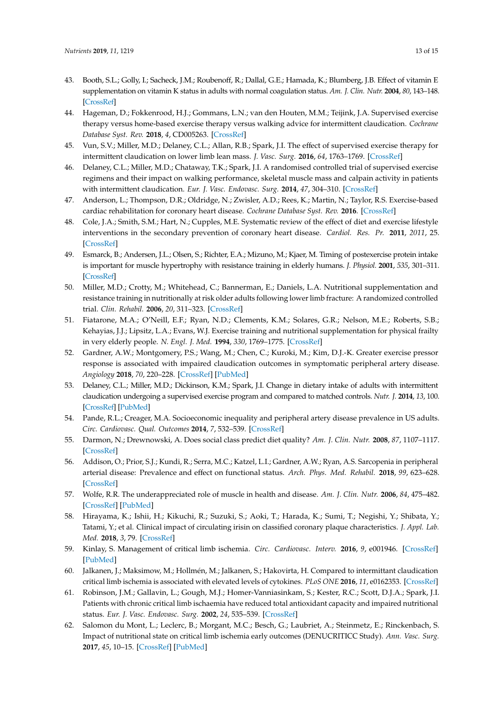- <span id="page-12-0"></span>43. Booth, S.L.; Golly, I.; Sacheck, J.M.; Roubenoff, R.; Dallal, G.E.; Hamada, K.; Blumberg, J.B. Effect of vitamin E supplementation on vitamin K status in adults with normal coagulation status. *Am. J. Clin. Nutr.* **2004**, *80*, 143–148. [\[CrossRef\]](http://dx.doi.org/10.1093/ajcn/80.1.143)
- <span id="page-12-1"></span>44. Hageman, D.; Fokkenrood, H.J.; Gommans, L.N.; van den Houten, M.M.; Teijink, J.A. Supervised exercise therapy versus home-based exercise therapy versus walking advice for intermittent claudication. *Cochrane Database Syst. Rev.* **2018**, *4*, CD005263. [\[CrossRef\]](http://dx.doi.org/10.1002/14651858.CD005263.pub4)
- <span id="page-12-2"></span>45. Vun, S.V.; Miller, M.D.; Delaney, C.L.; Allan, R.B.; Spark, J.I. The effect of supervised exercise therapy for intermittent claudication on lower limb lean mass. *J. Vasc. Surg.* **2016**, *64*, 1763–1769. [\[CrossRef\]](http://dx.doi.org/10.1016/j.jvs.2016.06.099)
- <span id="page-12-3"></span>46. Delaney, C.L.; Miller, M.D.; Chataway, T.K.; Spark, J.I. A randomised controlled trial of supervised exercise regimens and their impact on walking performance, skeletal muscle mass and calpain activity in patients with intermittent claudication. *Eur. J. Vasc. Endovasc. Surg.* **2014**, *47*, 304–310. [\[CrossRef\]](http://dx.doi.org/10.1016/j.ejvs.2013.12.021)
- <span id="page-12-4"></span>47. Anderson, L.; Thompson, D.R.; Oldridge, N.; Zwisler, A.D.; Rees, K.; Martin, N.; Taylor, R.S. Exercise-based cardiac rehabilitation for coronary heart disease. *Cochrane Database Syst. Rev.* **2016**. [\[CrossRef\]](http://dx.doi.org/10.1002/14651858.CD001800.pub3)
- 48. Cole, J.A.; Smith, S.M.; Hart, N.; Cupples, M.E. Systematic review of the effect of diet and exercise lifestyle interventions in the secondary prevention of coronary heart disease. *Cardiol. Res. Pr.* **2011**, *2011*, 25. [\[CrossRef\]](http://dx.doi.org/10.4061/2011/232351)
- <span id="page-12-5"></span>49. Esmarck, B.; Andersen, J.L.; Olsen, S.; Richter, E.A.; Mizuno, M.; Kjaer, M. Timing of postexercise protein intake is important for muscle hypertrophy with resistance training in elderly humans. *J. Physiol.* **2001**, *535*, 301–311. [\[CrossRef\]](http://dx.doi.org/10.1111/j.1469-7793.2001.00301.x)
- <span id="page-12-6"></span>50. Miller, M.D.; Crotty, M.; Whitehead, C.; Bannerman, E.; Daniels, L.A. Nutritional supplementation and resistance training in nutritionally at risk older adults following lower limb fracture: A randomized controlled trial. *Clin. Rehabil.* **2006**, *20*, 311–323. [\[CrossRef\]](http://dx.doi.org/10.1191/0269215506cr942oa)
- <span id="page-12-7"></span>51. Fiatarone, M.A.; O'Neill, E.F.; Ryan, N.D.; Clements, K.M.; Solares, G.R.; Nelson, M.E.; Roberts, S.B.; Kehayias, J.J.; Lipsitz, L.A.; Evans, W.J. Exercise training and nutritional supplementation for physical frailty in very elderly people. *N. Engl. J. Med.* **1994**, *330*, 1769–1775. [\[CrossRef\]](http://dx.doi.org/10.1056/NEJM199406233302501)
- <span id="page-12-8"></span>52. Gardner, A.W.; Montgomery, P.S.; Wang, M.; Chen, C.; Kuroki, M.; Kim, D.J.-K. Greater exercise pressor response is associated with impaired claudication outcomes in symptomatic peripheral artery disease. *Angiology* **2018**, *70*, 220–228. [\[CrossRef\]](http://dx.doi.org/10.1177/0003319718790876) [\[PubMed\]](http://www.ncbi.nlm.nih.gov/pubmed/30081644)
- <span id="page-12-9"></span>53. Delaney, C.L.; Miller, M.D.; Dickinson, K.M.; Spark, J.I. Change in dietary intake of adults with intermittent claudication undergoing a supervised exercise program and compared to matched controls. *Nutr. J.* **2014**, *13*, 100. [\[CrossRef\]](http://dx.doi.org/10.1186/1475-2891-13-100) [\[PubMed\]](http://www.ncbi.nlm.nih.gov/pubmed/25316347)
- <span id="page-12-10"></span>54. Pande, R.L.; Creager, M.A. Socioeconomic inequality and peripheral artery disease prevalence in US adults. *Circ. Cardiovasc. Qual. Outcomes* **2014**, *7*, 532–539. [\[CrossRef\]](http://dx.doi.org/10.1161/CIRCOUTCOMES.113.000618)
- <span id="page-12-11"></span>55. Darmon, N.; Drewnowski, A. Does social class predict diet quality? *Am. J. Clin. Nutr.* **2008**, *87*, 1107–1117. [\[CrossRef\]](http://dx.doi.org/10.1093/ajcn/87.5.1107)
- <span id="page-12-12"></span>56. Addison, O.; Prior, S.J.; Kundi, R.; Serra, M.C.; Katzel, L.I.; Gardner, A.W.; Ryan, A.S. Sarcopenia in peripheral arterial disease: Prevalence and effect on functional status. *Arch. Phys. Med. Rehabil.* **2018**, *99*, 623–628. [\[CrossRef\]](http://dx.doi.org/10.1016/j.apmr.2017.10.017)
- <span id="page-12-13"></span>57. Wolfe, R.R. The underappreciated role of muscle in health and disease. *Am. J. Clin. Nutr.* **2006**, *84*, 475–482. [\[CrossRef\]](http://dx.doi.org/10.1093/ajcn/84.3.475) [\[PubMed\]](http://www.ncbi.nlm.nih.gov/pubmed/16960159)
- <span id="page-12-14"></span>58. Hirayama, K.; Ishii, H.; Kikuchi, R.; Suzuki, S.; Aoki, T.; Harada, K.; Sumi, T.; Negishi, Y.; Shibata, Y.; Tatami, Y.; et al. Clinical impact of circulating irisin on classified coronary plaque characteristics. *J. Appl. Lab. Med.* **2018**, *3*, 79. [\[CrossRef\]](http://dx.doi.org/10.1373/jalm.2017.025296)
- <span id="page-12-15"></span>59. Kinlay, S. Management of critical limb ischemia. *Circ. Cardiovasc. Interv.* **2016**, *9*, e001946. [\[CrossRef\]](http://dx.doi.org/10.1161/CIRCINTERVENTIONS.115.001946) [\[PubMed\]](http://www.ncbi.nlm.nih.gov/pubmed/26858079)
- <span id="page-12-16"></span>60. Jalkanen, J.; Maksimow, M.; Hollmén, M.; Jalkanen, S.; Hakovirta, H. Compared to intermittant claudication critical limb ischemia is associated with elevated levels of cytokines. *PLoS ONE* **2016**, *11*, e0162353. [\[CrossRef\]](http://dx.doi.org/10.1371/journal.pone.0162353)
- <span id="page-12-17"></span>61. Robinson, J.M.; Gallavin, L.; Gough, M.J.; Homer-Vanniasinkam, S.; Kester, R.C.; Scott, D.J.A.; Spark, J.I. Patients with chronic critical limb ischaemia have reduced total antioxidant capacity and impaired nutritional status. *Eur. J. Vasc. Endovasc. Surg.* **2002**, *24*, 535–539. [\[CrossRef\]](http://dx.doi.org/10.1053/ejvs.2002.1755)
- <span id="page-12-18"></span>62. Salomon du Mont, L.; Leclerc, B.; Morgant, M.C.; Besch, G.; Laubriet, A.; Steinmetz, E.; Rinckenbach, S. Impact of nutritional state on critical limb ischemia early outcomes (DENUCRITICC Study). *Ann. Vasc. Surg.* **2017**, *45*, 10–15. [\[CrossRef\]](http://dx.doi.org/10.1016/j.avsg.2017.04.030) [\[PubMed\]](http://www.ncbi.nlm.nih.gov/pubmed/28495537)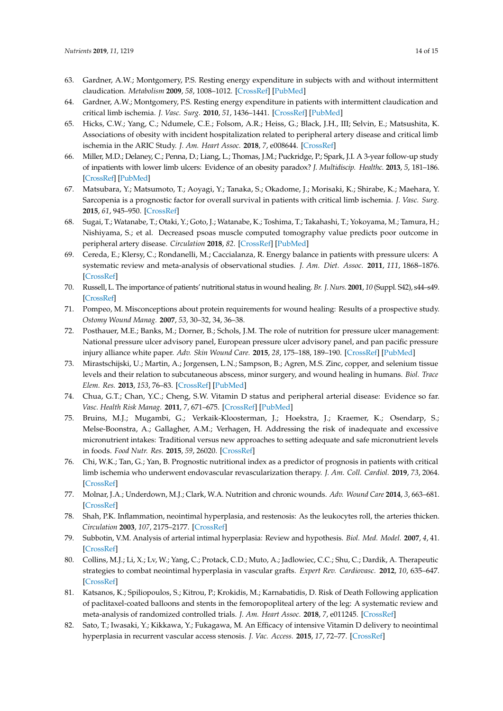- <span id="page-13-0"></span>63. Gardner, A.W.; Montgomery, P.S. Resting energy expenditure in subjects with and without intermittent claudication. *Metabolism* **2009**, *58*, 1008–1012. [\[CrossRef\]](http://dx.doi.org/10.1016/j.metabol.2009.02.030) [\[PubMed\]](http://www.ncbi.nlm.nih.gov/pubmed/19394975)
- <span id="page-13-1"></span>64. Gardner, A.W.; Montgomery, P.S. Resting energy expenditure in patients with intermittent claudication and critical limb ischemia. *J. Vasc. Surg.* **2010**, *51*, 1436–1441. [\[CrossRef\]](http://dx.doi.org/10.1016/j.jvs.2009.12.072) [\[PubMed\]](http://www.ncbi.nlm.nih.gov/pubmed/20382493)
- <span id="page-13-2"></span>65. Hicks, C.W.; Yang, C.; Ndumele, C.E.; Folsom, A.R.; Heiss, G.; Black, J.H., III; Selvin, E.; Matsushita, K. Associations of obesity with incident hospitalization related to peripheral artery disease and critical limb ischemia in the ARIC Study. *J. Am. Heart Assoc.* **2018**, *7*, e008644. [\[CrossRef\]](http://dx.doi.org/10.1161/JAHA.118.008644)
- <span id="page-13-3"></span>66. Miller, M.D.; Delaney, C.; Penna, D.; Liang, L.; Thomas, J.M.; Puckridge, P.; Spark, J.I. A 3-year follow-up study of inpatients with lower limb ulcers: Evidence of an obesity paradox? *J. Multidiscip. Healthc.* **2013**, *5*, 181–186. [\[CrossRef\]](http://dx.doi.org/10.2147/JMDH.S33625) [\[PubMed\]](http://www.ncbi.nlm.nih.gov/pubmed/22973108)
- <span id="page-13-4"></span>67. Matsubara, Y.; Matsumoto, T.; Aoyagi, Y.; Tanaka, S.; Okadome, J.; Morisaki, K.; Shirabe, K.; Maehara, Y. Sarcopenia is a prognostic factor for overall survival in patients with critical limb ischemia. *J. Vasc. Surg.* **2015**, *61*, 945–950. [\[CrossRef\]](http://dx.doi.org/10.1016/j.jvs.2014.10.094)
- <span id="page-13-5"></span>68. Sugai, T.; Watanabe, T.; Otaki, Y.; Goto, J.; Watanabe, K.; Toshima, T.; Takahashi, T.; Yokoyama, M.; Tamura, H.; Nishiyama, S.; et al. Decreased psoas muscle computed tomography value predicts poor outcome in peripheral artery disease. *Circulation* **2018**, *82*. [\[CrossRef\]](http://dx.doi.org/10.1253/circj.CJ-18-0726) [\[PubMed\]](http://www.ncbi.nlm.nih.gov/pubmed/30270315)
- <span id="page-13-6"></span>69. Cereda, E.; Klersy, C.; Rondanelli, M.; Caccialanza, R. Energy balance in patients with pressure ulcers: A systematic review and meta-analysis of observational studies. *J. Am. Diet. Assoc.* **2011**, *111*, 1868–1876. [\[CrossRef\]](http://dx.doi.org/10.1016/j.jada.2011.09.005)
- <span id="page-13-7"></span>70. Russell, L. The importance of patients' nutritional status in wound healing. *Br. J. Nurs.* **2001**, *10* (Suppl. S42), s44–s49. [\[CrossRef\]](http://dx.doi.org/10.12968/bjon.2001.10.Sup1.5336)
- <span id="page-13-8"></span>71. Pompeo, M. Misconceptions about protein requirements for wound healing: Results of a prospective study. *Ostomy Wound Manag.* **2007**, *53*, 30–32, 34, 36–38.
- <span id="page-13-9"></span>72. Posthauer, M.E.; Banks, M.; Dorner, B.; Schols, J.M. The role of nutrition for pressure ulcer management: National pressure ulcer advisory panel, European pressure ulcer advisory panel, and pan pacific pressure injury alliance white paper. *Adv. Skin Wound Care.* **2015**, *28*, 175–188, 189–190. [\[CrossRef\]](http://dx.doi.org/10.1097/01.ASW.0000461911.31139.62) [\[PubMed\]](http://www.ncbi.nlm.nih.gov/pubmed/25775201)
- <span id="page-13-10"></span>73. Mirastschijski, U.; Martin, A.; Jorgensen, L.N.; Sampson, B.; Agren, M.S. Zinc, copper, and selenium tissue levels and their relation to subcutaneous abscess, minor surgery, and wound healing in humans. *Biol. Trace Elem. Res.* **2013**, *153*, 76–83. [\[CrossRef\]](http://dx.doi.org/10.1007/s12011-013-9658-z) [\[PubMed\]](http://www.ncbi.nlm.nih.gov/pubmed/23595590)
- <span id="page-13-11"></span>74. Chua, G.T.; Chan, Y.C.; Cheng, S.W. Vitamin D status and peripheral arterial disease: Evidence so far. *Vasc. Health Risk Manag.* **2011**, *7*, 671–675. [\[CrossRef\]](http://dx.doi.org/10.2147/VHRM.S24876) [\[PubMed\]](http://www.ncbi.nlm.nih.gov/pubmed/22140318)
- <span id="page-13-12"></span>75. Bruins, M.J.; Mugambi, G.; Verkaik-Kloosterman, J.; Hoekstra, J.; Kraemer, K.; Osendarp, S.; Melse-Boonstra, A.; Gallagher, A.M.; Verhagen, H. Addressing the risk of inadequate and excessive micronutrient intakes: Traditional versus new approaches to setting adequate and safe micronutrient levels in foods. *Food Nutr. Res.* **2015**, *59*, 26020. [\[CrossRef\]](http://dx.doi.org/10.3402/fnr.v58.26020)
- <span id="page-13-13"></span>76. Chi, W.K.; Tan, G.; Yan, B. Prognostic nutritional index as a predictor of prognosis in patients with critical limb ischemia who underwent endovascular revascularization therapy. *J. Am. Coll. Cardiol.* **2019**, *73*, 2064. [\[CrossRef\]](http://dx.doi.org/10.1016/S0735-1097(19)32670-1)
- <span id="page-13-14"></span>77. Molnar, J.A.; Underdown, M.J.; Clark, W.A. Nutrition and chronic wounds. *Adv. Wound Care* **2014**, *3*, 663–681. [\[CrossRef\]](http://dx.doi.org/10.1089/wound.2014.0530)
- <span id="page-13-15"></span>78. Shah, P.K. Inflammation, neointimal hyperplasia, and restenosis: As the leukocytes roll, the arteries thicken. *Circulation* **2003**, *107*, 2175–2177. [\[CrossRef\]](http://dx.doi.org/10.1161/01.CIR.0000069943.41206.BD)
- <span id="page-13-16"></span>79. Subbotin, V.M. Analysis of arterial intimal hyperplasia: Review and hypothesis. *Biol. Med. Model.* **2007**, *4*, 41. [\[CrossRef\]](http://dx.doi.org/10.1186/1742-4682-4-41)
- <span id="page-13-17"></span>80. Collins, M.J.; Li, X.; Lv, W.; Yang, C.; Protack, C.D.; Muto, A.; Jadlowiec, C.C.; Shu, C.; Dardik, A. Therapeutic strategies to combat neointimal hyperplasia in vascular grafts. *Expert Rev. Cardiovasc.* **2012**, *10*, 635–647. [\[CrossRef\]](http://dx.doi.org/10.1586/erc.12.33)
- <span id="page-13-18"></span>81. Katsanos, K.; Spiliopoulos, S.; Kitrou, P.; Krokidis, M.; Karnabatidis, D. Risk of Death Following application of paclitaxel-coated balloons and stents in the femoropopliteal artery of the leg: A systematic review and meta-analysis of randomized controlled trials. *J. Am. Heart Assoc.* **2018**, *7*, e011245. [\[CrossRef\]](http://dx.doi.org/10.1161/JAHA.118.011245)
- <span id="page-13-19"></span>82. Sato, T.; Iwasaki, Y.; Kikkawa, Y.; Fukagawa, M. An Efficacy of intensive Vitamin D delivery to neointimal hyperplasia in recurrent vascular access stenosis. *J. Vac. Access.* **2015**, *17*, 72–77. [\[CrossRef\]](http://dx.doi.org/10.5301/jva.5000469)